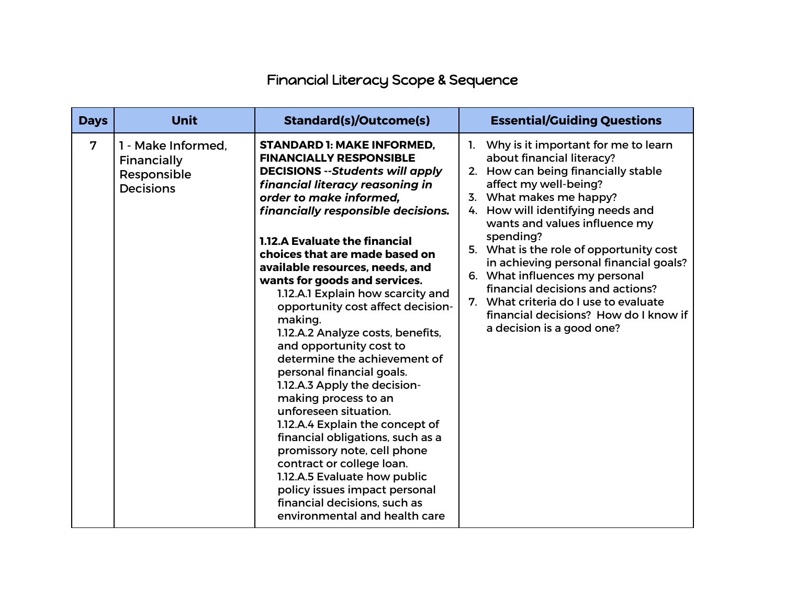## Financial Literacy Scope & Sequence

| <b>Days</b> | <b>Unit</b>                                                          | <b>Standard(s)/Outcome(s)</b>                                                                                                                                                                                                                                                                                                                                                                                                                                                                                                                                                                                                                                                                                                                                                                                                                                                                                                           | <b>Essential/Guiding Questions</b>                                                                                                                                                                                                                                                                                                                                                                                                                                                                                                   |
|-------------|----------------------------------------------------------------------|-----------------------------------------------------------------------------------------------------------------------------------------------------------------------------------------------------------------------------------------------------------------------------------------------------------------------------------------------------------------------------------------------------------------------------------------------------------------------------------------------------------------------------------------------------------------------------------------------------------------------------------------------------------------------------------------------------------------------------------------------------------------------------------------------------------------------------------------------------------------------------------------------------------------------------------------|--------------------------------------------------------------------------------------------------------------------------------------------------------------------------------------------------------------------------------------------------------------------------------------------------------------------------------------------------------------------------------------------------------------------------------------------------------------------------------------------------------------------------------------|
| 7           | 1 - Make Informed.<br>Financially<br>Responsible<br><b>Decisions</b> | <b>STANDARD 1: MAKE INFORMED.</b><br><b>FINANCIALLY RESPONSIBLE</b><br><b>DECISIONS</b> --Students will apply<br>financial literacy reasoning in<br>order to make informed.<br>financially responsible decisions.<br><b>1.12.A Evaluate the financial</b><br>choices that are made based on<br>available resources, needs, and<br>wants for goods and services.<br>1.12.A.1 Explain how scarcity and<br>opportunity cost affect decision-<br>making.<br>1.12.A.2 Analyze costs, benefits,<br>and opportunity cost to<br>determine the achievement of<br>personal financial goals.<br>1.12.A.3 Apply the decision-<br>making process to an<br>unforeseen situation.<br>1.12.A.4 Explain the concept of<br>financial obligations, such as a<br>promissory note, cell phone<br>contract or college loan.<br>1.12.A.5 Evaluate how public<br>policy issues impact personal<br>financial decisions, such as<br>environmental and health care | Why is it important for me to learn<br>1.<br>about financial literacy?<br>How can being financially stable<br>2.<br>affect my well-being?<br>3. What makes me happy?<br>4. How will identifying needs and<br>wants and values influence my<br>spending?<br>5. What is the role of opportunity cost<br>in achieving personal financial goals?<br>6. What influences my personal<br>financial decisions and actions?<br>What criteria do I use to evaluate<br>7.<br>financial decisions? How do I know if<br>a decision is a good one? |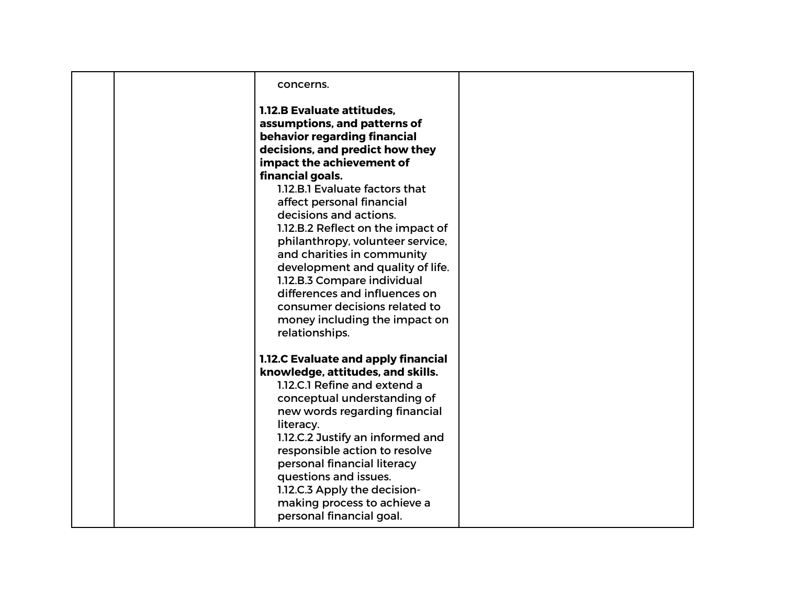| concerns.<br>1.12.B Evaluate attitudes,<br>assumptions, and patterns of<br>behavior regarding financial                                                                                                                                                                                                                                                                                                                                                                  |  |
|--------------------------------------------------------------------------------------------------------------------------------------------------------------------------------------------------------------------------------------------------------------------------------------------------------------------------------------------------------------------------------------------------------------------------------------------------------------------------|--|
| decisions, and predict how they<br>impact the achievement of<br>financial goals.<br>1.12.B.1 Evaluate factors that<br>affect personal financial<br>decisions and actions.<br>1.12.B.2 Reflect on the impact of<br>philanthropy, volunteer service,<br>and charities in community<br>development and quality of life.<br>1.12.B.3 Compare individual<br>differences and influences on<br>consumer decisions related to<br>money including the impact on<br>relationships. |  |
| 1.12.C Evaluate and apply financial<br>knowledge, attitudes, and skills.<br>1.12.C.1 Refine and extend a<br>conceptual understanding of<br>new words regarding financial<br>literacy.<br>1.12.C.2 Justify an informed and<br>responsible action to resolve<br>personal financial literacy<br>questions and issues.<br>1.12.C.3 Apply the decision-<br>making process to achieve a<br>personal financial goal.                                                            |  |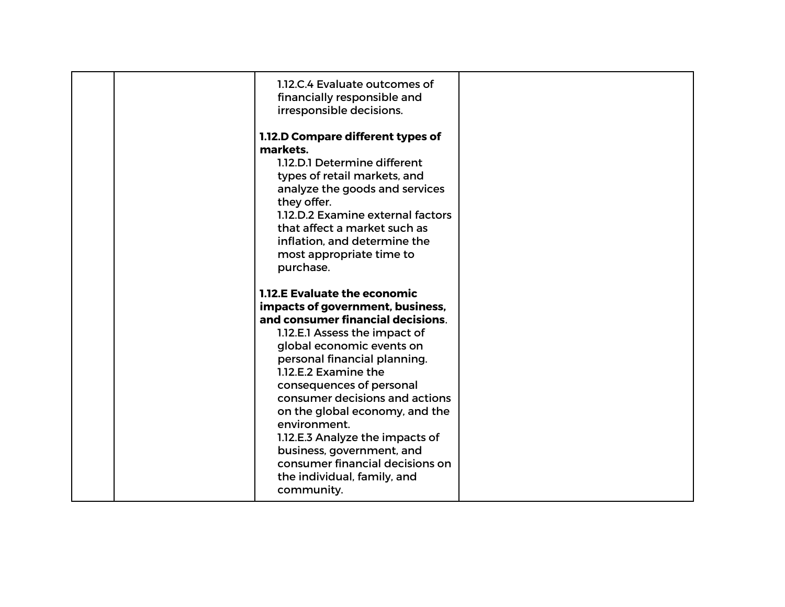| 1.12.C.4 Evaluate outcomes of<br>financially responsible and<br>irresponsible decisions.                                                                                                                                                                                                                                                                                                                                                                                                           |  |
|----------------------------------------------------------------------------------------------------------------------------------------------------------------------------------------------------------------------------------------------------------------------------------------------------------------------------------------------------------------------------------------------------------------------------------------------------------------------------------------------------|--|
| 1.12.D Compare different types of<br>markets.<br>1.12.D.1 Determine different<br>types of retail markets, and<br>analyze the goods and services<br>they offer.<br>1.12.D.2 Examine external factors<br>that affect a market such as<br>inflation, and determine the<br>most appropriate time to<br>purchase.                                                                                                                                                                                       |  |
| <b>1.12.E Evaluate the economic</b><br>impacts of government, business,<br>and consumer financial decisions.<br>1.12.E.1 Assess the impact of<br>global economic events on<br>personal financial planning.<br>1.12.E.2 Examine the<br>consequences of personal<br>consumer decisions and actions<br>on the global economy, and the<br>environment.<br>1.12.E.3 Analyze the impacts of<br>business, government, and<br>consumer financial decisions on<br>the individual, family, and<br>community. |  |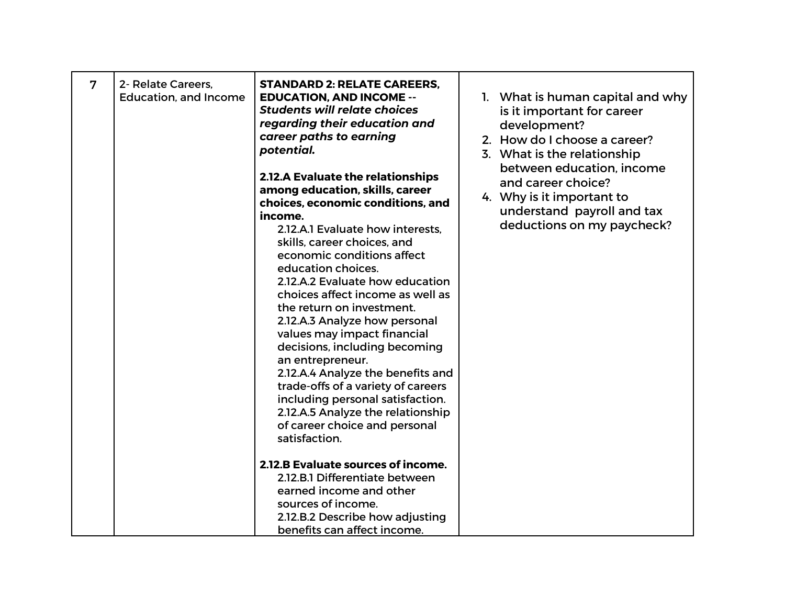| 7 | 2- Relate Careers,<br><b>Education, and Income</b> | <b>STANDARD 2: RELATE CAREERS,</b><br><b>EDUCATION, AND INCOME --</b><br><b>Students will relate choices</b><br>regarding their education and<br>career paths to earning<br>potential.<br><b>2.12.A Evaluate the relationships</b><br>among education, skills, career<br>choices, economic conditions, and<br>income.<br>2.12.A.1 Evaluate how interests,<br>skills, career choices, and<br>economic conditions affect<br>education choices.<br>2.12.A.2 Evaluate how education<br>choices affect income as well as<br>the return on investment.<br>2.12.A.3 Analyze how personal<br>values may impact financial<br>decisions, including becoming<br>an entrepreneur.<br>2.12.A.4 Analyze the benefits and<br>trade-offs of a variety of careers<br>including personal satisfaction.<br>2.12.A.5 Analyze the relationship<br>of career choice and personal | 1. What is human capital and why<br>is it important for career<br>development?<br>2. How do I choose a career?<br>3. What is the relationship<br>between education, income<br>and career choice?<br>4. Why is it important to<br>understand payroll and tax<br>deductions on my paycheck? |
|---|----------------------------------------------------|------------------------------------------------------------------------------------------------------------------------------------------------------------------------------------------------------------------------------------------------------------------------------------------------------------------------------------------------------------------------------------------------------------------------------------------------------------------------------------------------------------------------------------------------------------------------------------------------------------------------------------------------------------------------------------------------------------------------------------------------------------------------------------------------------------------------------------------------------------|-------------------------------------------------------------------------------------------------------------------------------------------------------------------------------------------------------------------------------------------------------------------------------------------|
|   |                                                    | satisfaction.<br>2.12.B Evaluate sources of income.<br>2.12.B.1 Differentiate between                                                                                                                                                                                                                                                                                                                                                                                                                                                                                                                                                                                                                                                                                                                                                                      |                                                                                                                                                                                                                                                                                           |
|   |                                                    | earned income and other<br>sources of income.<br>2.12.B.2 Describe how adjusting<br>benefits can affect income.                                                                                                                                                                                                                                                                                                                                                                                                                                                                                                                                                                                                                                                                                                                                            |                                                                                                                                                                                                                                                                                           |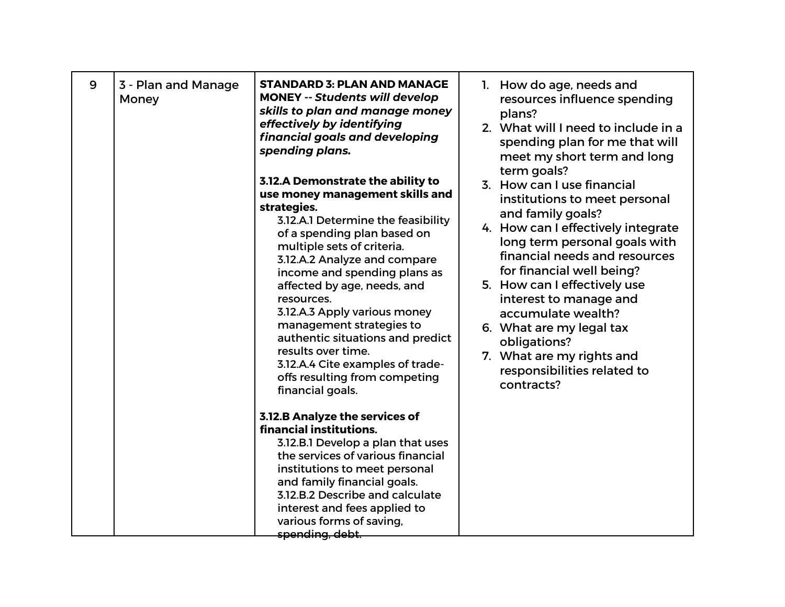| 9 | 3 - Plan and Manage<br>Money | <b>STANDARD 3: PLAN AND MANAGE</b><br><b>MONEY -- Students will develop</b><br>skills to plan and manage money<br>effectively by identifying<br>financial goals and developing<br>spending plans.<br>3.12.A Demonstrate the ability to<br>use money management skills and<br>strategies.<br>3.12.A.1 Determine the feasibility<br>of a spending plan based on<br>multiple sets of criteria.<br>3.12.A.2 Analyze and compare<br>income and spending plans as<br>affected by age, needs, and | 1. How do age, needs and<br>resources influence spending<br>plans?<br>2. What will I need to include in a<br>spending plan for me that will<br>meet my short term and long<br>term goals?<br>3. How can I use financial<br>institutions to meet personal<br>and family goals?<br>4. How can I effectively integrate<br>long term personal goals with<br>financial needs and resources<br>for financial well being?<br>5. How can I effectively use |
|---|------------------------------|--------------------------------------------------------------------------------------------------------------------------------------------------------------------------------------------------------------------------------------------------------------------------------------------------------------------------------------------------------------------------------------------------------------------------------------------------------------------------------------------|----------------------------------------------------------------------------------------------------------------------------------------------------------------------------------------------------------------------------------------------------------------------------------------------------------------------------------------------------------------------------------------------------------------------------------------------------|
|   |                              | resources.<br>3.12.A.3 Apply various money<br>management strategies to<br>authentic situations and predict<br>results over time.<br>3.12.A.4 Cite examples of trade-<br>offs resulting from competing<br>financial goals.                                                                                                                                                                                                                                                                  | interest to manage and<br>accumulate wealth?<br>6. What are my legal tax<br>obligations?<br>7. What are my rights and<br>responsibilities related to<br>contracts?                                                                                                                                                                                                                                                                                 |
|   |                              | <b>3.12.B Analyze the services of</b><br>financial institutions.<br>3.12.B.1 Develop a plan that uses<br>the services of various financial<br>institutions to meet personal<br>and family financial goals.<br>3.12.B.2 Describe and calculate<br>interest and fees applied to<br>various forms of saving,<br>spending, debt.                                                                                                                                                               |                                                                                                                                                                                                                                                                                                                                                                                                                                                    |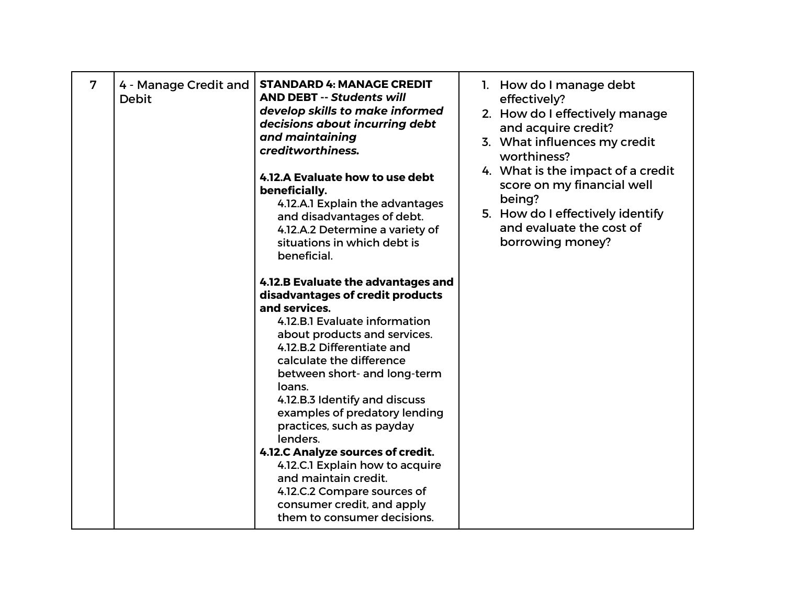| 7 | 4 - Manage Credit and<br><b>Debit</b> | <b>STANDARD 4: MANAGE CREDIT</b><br><b>AND DEBT -- Students will</b><br>develop skills to make informed<br>decisions about incurring debt<br>and maintaining<br>creditworthiness.<br>4.12.A Evaluate how to use debt<br>beneficially.<br>4.12.A.1 Explain the advantages<br>and disadvantages of debt.<br>4.12.A.2 Determine a variety of<br>situations in which debt is<br>beneficial.                                                                                                                                                                             | 1. How do I manage debt<br>effectively?<br>2. How do I effectively manage<br>and acquire credit?<br>3. What influences my credit<br>worthiness?<br>4. What is the impact of a credit<br>score on my financial well<br>being?<br>5. How do I effectively identify<br>and evaluate the cost of<br>borrowing money? |
|---|---------------------------------------|---------------------------------------------------------------------------------------------------------------------------------------------------------------------------------------------------------------------------------------------------------------------------------------------------------------------------------------------------------------------------------------------------------------------------------------------------------------------------------------------------------------------------------------------------------------------|------------------------------------------------------------------------------------------------------------------------------------------------------------------------------------------------------------------------------------------------------------------------------------------------------------------|
|   |                                       | 4.12.B Evaluate the advantages and<br>disadvantages of credit products<br>and services.<br>4.12.B.1 Evaluate information<br>about products and services.<br>4.12.B.2 Differentiate and<br>calculate the difference<br>between short- and long-term<br>loans.<br>4.12.B.3 Identify and discuss<br>examples of predatory lending<br>practices, such as payday<br>lenders.<br>4.12.C Analyze sources of credit.<br>4.12.C.1 Explain how to acquire<br>and maintain credit.<br>4.12.C.2 Compare sources of<br>consumer credit, and apply<br>them to consumer decisions. |                                                                                                                                                                                                                                                                                                                  |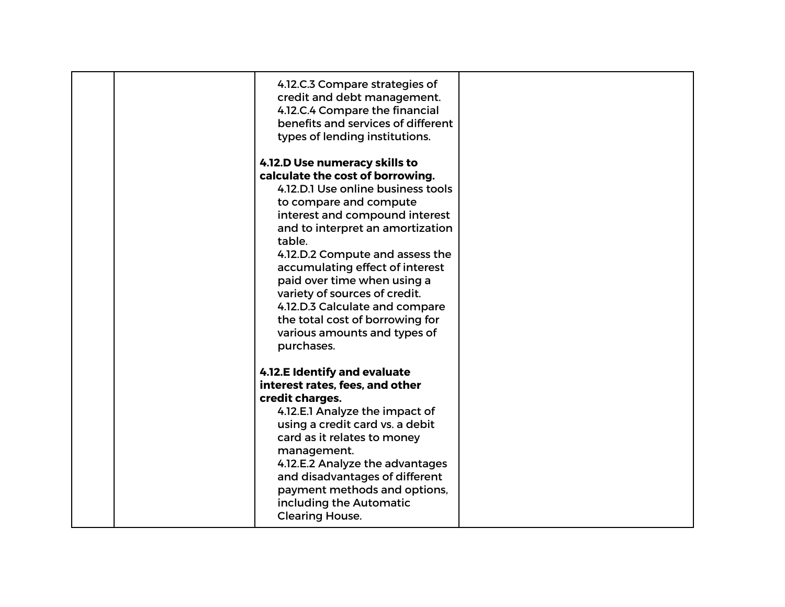| 4.12.C.3 Compare strategies of<br>credit and debt management.<br>4.12.C.4 Compare the financial<br>benefits and services of different<br>types of lending institutions.                                                                                                                                                                                                                                                                                                    |  |
|----------------------------------------------------------------------------------------------------------------------------------------------------------------------------------------------------------------------------------------------------------------------------------------------------------------------------------------------------------------------------------------------------------------------------------------------------------------------------|--|
| 4.12.D Use numeracy skills to<br>calculate the cost of borrowing.<br>4.12.D.1 Use online business tools<br>to compare and compute<br>interest and compound interest<br>and to interpret an amortization<br>table.<br>4.12.D.2 Compute and assess the<br>accumulating effect of interest<br>paid over time when using a<br>variety of sources of credit.<br>4.12.D.3 Calculate and compare<br>the total cost of borrowing for<br>various amounts and types of<br>purchases. |  |
| 4.12.E Identify and evaluate<br>interest rates, fees, and other<br>credit charges.<br>4.12.E.1 Analyze the impact of<br>using a credit card vs. a debit<br>card as it relates to money<br>management.<br>4.12.E.2 Analyze the advantages<br>and disadvantages of different<br>payment methods and options,<br>including the Automatic<br><b>Clearing House.</b>                                                                                                            |  |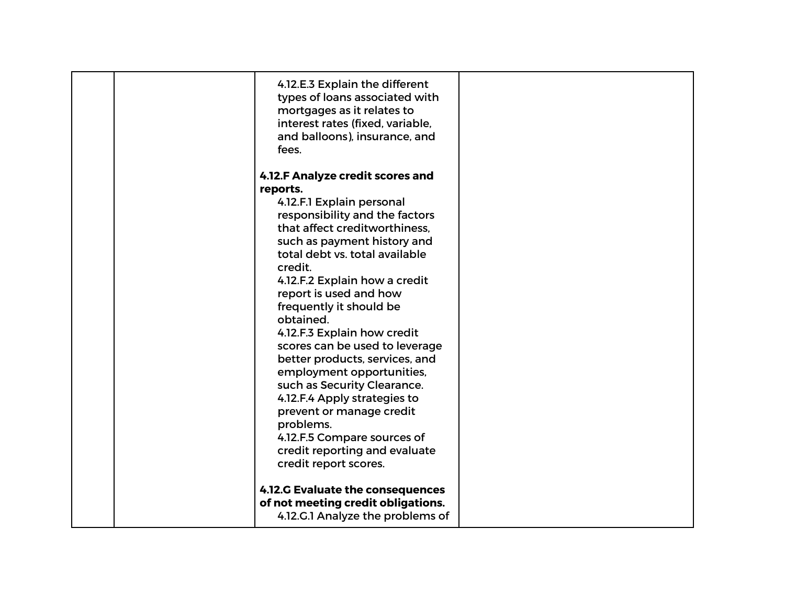| 4.12.E.3 Explain the different<br>types of loans associated with<br>mortgages as it relates to<br>interest rates (fixed, variable,<br>and balloons), insurance, and<br>fees.                                                                                                                                                                                                                                                                                                                                                                                                                                                        |  |
|-------------------------------------------------------------------------------------------------------------------------------------------------------------------------------------------------------------------------------------------------------------------------------------------------------------------------------------------------------------------------------------------------------------------------------------------------------------------------------------------------------------------------------------------------------------------------------------------------------------------------------------|--|
| 4.12.F Analyze credit scores and<br>reports.<br>4.12.F.1 Explain personal<br>responsibility and the factors<br>that affect creditworthiness.<br>such as payment history and<br>total debt vs. total available<br>credit.<br>4.12.F.2 Explain how a credit<br>report is used and how<br>frequently it should be<br>obtained.<br>4.12.F.3 Explain how credit<br>scores can be used to leverage<br>better products, services, and<br>employment opportunities,<br>such as Security Clearance.<br>4.12.F.4 Apply strategies to<br>prevent or manage credit<br>problems.<br>4.12.F.5 Compare sources of<br>credit reporting and evaluate |  |
| credit report scores.<br>4.12.G Evaluate the consequences<br>of not meeting credit obligations.<br>4.12.G.1 Analyze the problems of                                                                                                                                                                                                                                                                                                                                                                                                                                                                                                 |  |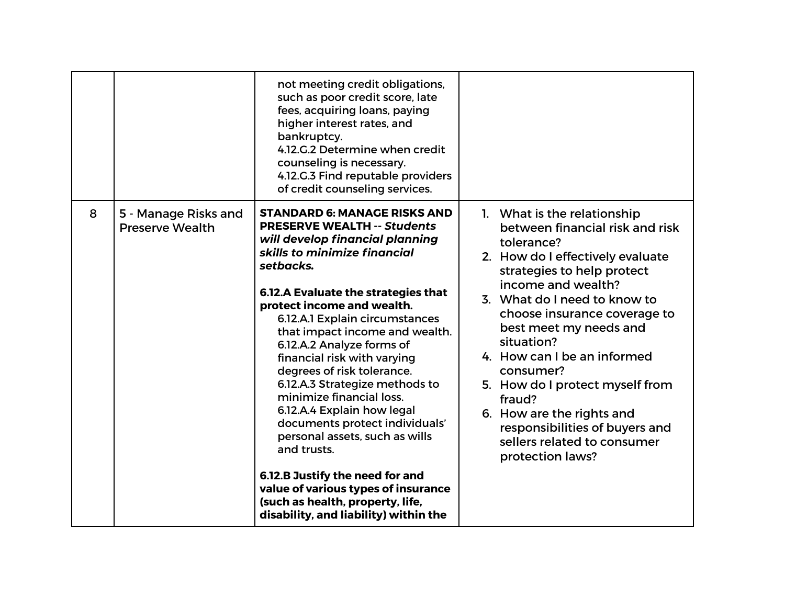|   |                                                | not meeting credit obligations,<br>such as poor credit score, late<br>fees, acquiring loans, paying<br>higher interest rates, and<br>bankruptcy.<br>4.12.G.2 Determine when credit<br>counseling is necessary.<br>4.12.G.3 Find reputable providers<br>of credit counseling services.                                                                                                                                                                                                                                                                                                                                                                                                                                              |                                                                                                                                                                                                                                                                                                                                                                                                                                                                                         |
|---|------------------------------------------------|------------------------------------------------------------------------------------------------------------------------------------------------------------------------------------------------------------------------------------------------------------------------------------------------------------------------------------------------------------------------------------------------------------------------------------------------------------------------------------------------------------------------------------------------------------------------------------------------------------------------------------------------------------------------------------------------------------------------------------|-----------------------------------------------------------------------------------------------------------------------------------------------------------------------------------------------------------------------------------------------------------------------------------------------------------------------------------------------------------------------------------------------------------------------------------------------------------------------------------------|
| 8 | 5 - Manage Risks and<br><b>Preserve Wealth</b> | <b>STANDARD 6: MANAGE RISKS AND</b><br><b>PRESERVE WEALTH -- Students</b><br>will develop financial planning<br>skills to minimize financial<br>setbacks.<br>6.12.A Evaluate the strategies that<br>protect income and wealth.<br>6.12.A.1 Explain circumstances<br>that impact income and wealth.<br>6.12.A.2 Analyze forms of<br>financial risk with varying<br>degrees of risk tolerance.<br>6.12.A.3 Strategize methods to<br>minimize financial loss.<br>6.12.A.4 Explain how legal<br>documents protect individuals'<br>personal assets, such as wills<br>and trusts.<br>6.12.B Justify the need for and<br>value of various types of insurance<br>(such as health, property, life,<br>disability, and liability) within the | 1. What is the relationship<br>between financial risk and risk<br>tolerance?<br>2. How do I effectively evaluate<br>strategies to help protect<br>income and wealth?<br>3. What do I need to know to<br>choose insurance coverage to<br>best meet my needs and<br>situation?<br>4. How can I be an informed<br>consumer?<br>5. How do I protect myself from<br>fraud?<br>6. How are the rights and<br>responsibilities of buyers and<br>sellers related to consumer<br>protection laws? |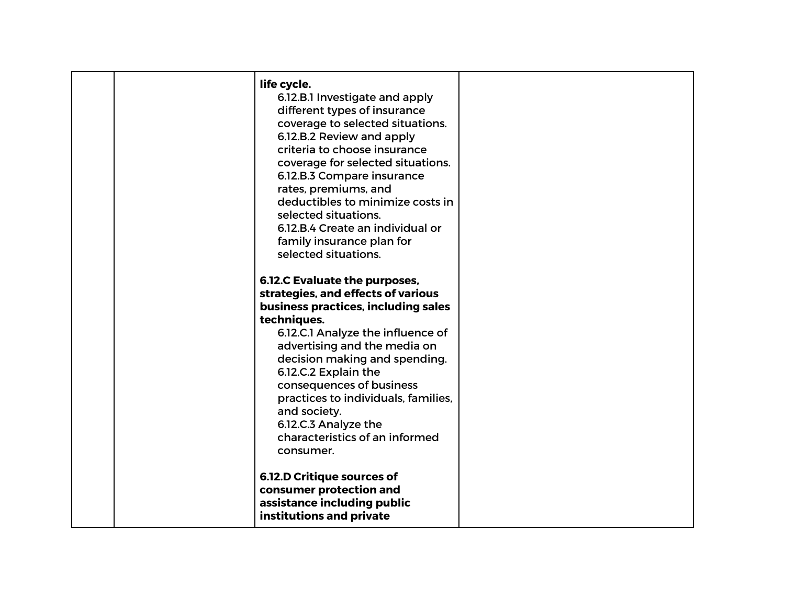| life cycle.<br>6.12.B.1 Investigate and apply<br>different types of insurance<br>coverage to selected situations.<br>6.12.B.2 Review and apply<br>criteria to choose insurance<br>coverage for selected situations.<br>6.12.B.3 Compare insurance<br>rates, premiums, and<br>deductibles to minimize costs in<br>selected situations.<br>6.12.B.4 Create an individual or<br>family insurance plan for<br>selected situations. |  |
|--------------------------------------------------------------------------------------------------------------------------------------------------------------------------------------------------------------------------------------------------------------------------------------------------------------------------------------------------------------------------------------------------------------------------------|--|
| 6.12.C Evaluate the purposes,<br>strategies, and effects of various<br>business practices, including sales<br>techniques.<br>6.12.C.1 Analyze the influence of<br>advertising and the media on<br>decision making and spending.<br>6.12.C.2 Explain the<br>consequences of business<br>practices to individuals, families,<br>and society.<br>6.12.C.3 Analyze the<br>characteristics of an informed<br>consumer.              |  |
| <b>6.12.D Critique sources of</b><br>consumer protection and<br>assistance including public<br>institutions and private                                                                                                                                                                                                                                                                                                        |  |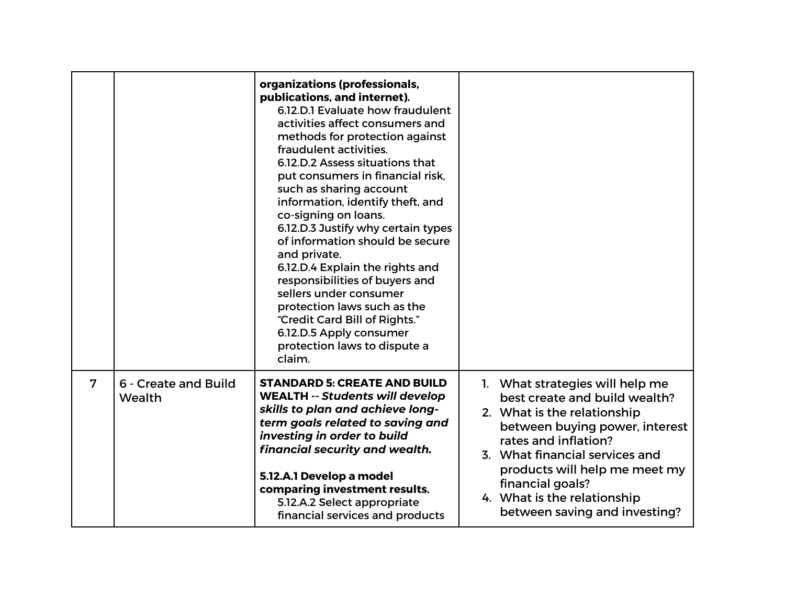|                |                                | organizations (professionals,<br>publications, and internet).<br>6.12.D.1 Evaluate how fraudulent<br>activities affect consumers and<br>methods for protection against<br>fraudulent activities.<br>6.12.D.2 Assess situations that<br>put consumers in financial risk,<br>such as sharing account<br>information, identify theft, and<br>co-signing on loans.<br>6.12.D.3 Justify why certain types<br>of information should be secure<br>and private.<br>6.12.D.4 Explain the rights and<br>responsibilities of buyers and<br>sellers under consumer<br>protection laws such as the<br>"Credit Card Bill of Rights."<br>6.12.D.5 Apply consumer<br>protection laws to dispute a<br>claim. |                                                                                                                                                                                                                                                                                                                  |
|----------------|--------------------------------|---------------------------------------------------------------------------------------------------------------------------------------------------------------------------------------------------------------------------------------------------------------------------------------------------------------------------------------------------------------------------------------------------------------------------------------------------------------------------------------------------------------------------------------------------------------------------------------------------------------------------------------------------------------------------------------------|------------------------------------------------------------------------------------------------------------------------------------------------------------------------------------------------------------------------------------------------------------------------------------------------------------------|
| $\overline{7}$ | 6 - Create and Build<br>Wealth | <b>STANDARD 5: CREATE AND BUILD</b><br><b>WEALTH -- Students will develop</b><br>skills to plan and achieve long-<br>term goals related to saving and<br>investing in order to build<br>financial security and wealth.<br>5.12.A.1 Develop a model<br>comparing investment results.<br>5.12.A.2 Select appropriate<br>financial services and products                                                                                                                                                                                                                                                                                                                                       | 1. What strategies will help me<br>best create and build wealth?<br>2. What is the relationship<br>between buying power, interest<br>rates and inflation?<br>3. What financial services and<br>products will help me meet my<br>financial goals?<br>4. What is the relationship<br>between saving and investing? |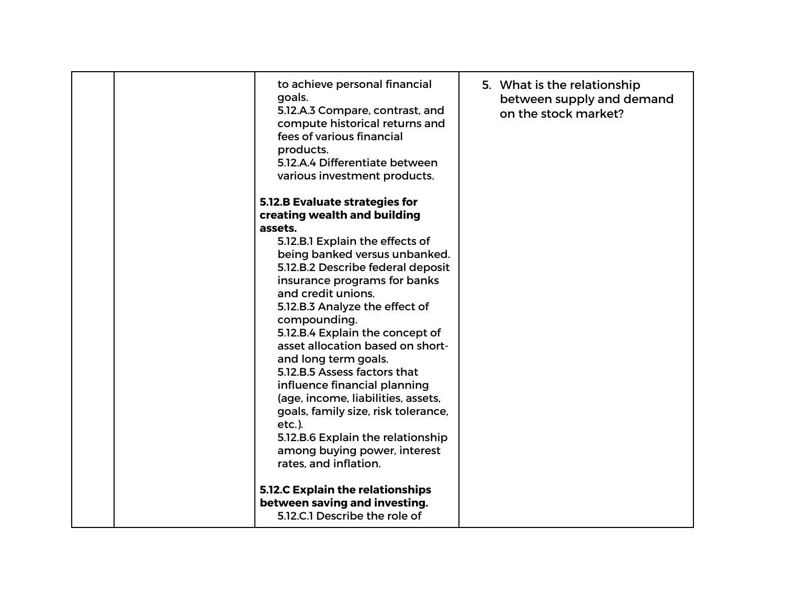|  | to achieve personal financial<br>goals.<br>5.12.A.3 Compare, contrast, and<br>compute historical returns and<br>fees of various financial<br>products.<br>5.12.A.4 Differentiate between<br>various investment products. | 5. What is the relationship<br>between supply and demand<br>on the stock market? |
|--|--------------------------------------------------------------------------------------------------------------------------------------------------------------------------------------------------------------------------|----------------------------------------------------------------------------------|
|  |                                                                                                                                                                                                                          |                                                                                  |
|  | 5.12.B Evaluate strategies for                                                                                                                                                                                           |                                                                                  |
|  | creating wealth and building                                                                                                                                                                                             |                                                                                  |
|  | assets.                                                                                                                                                                                                                  |                                                                                  |
|  | 5.12.B.1 Explain the effects of                                                                                                                                                                                          |                                                                                  |
|  | being banked versus unbanked.                                                                                                                                                                                            |                                                                                  |
|  | 5.12.B.2 Describe federal deposit                                                                                                                                                                                        |                                                                                  |
|  | insurance programs for banks                                                                                                                                                                                             |                                                                                  |
|  | and credit unions.                                                                                                                                                                                                       |                                                                                  |
|  | 5.12.B.3 Analyze the effect of                                                                                                                                                                                           |                                                                                  |
|  | compounding.                                                                                                                                                                                                             |                                                                                  |
|  | 5.12.B.4 Explain the concept of<br>asset allocation based on short-                                                                                                                                                      |                                                                                  |
|  |                                                                                                                                                                                                                          |                                                                                  |
|  | and long term goals.<br>5.12.B.5 Assess factors that                                                                                                                                                                     |                                                                                  |
|  |                                                                                                                                                                                                                          |                                                                                  |
|  | influence financial planning<br>(age, income, liabilities, assets,                                                                                                                                                       |                                                                                  |
|  | goals, family size, risk tolerance,                                                                                                                                                                                      |                                                                                  |
|  | $etc.$ ).                                                                                                                                                                                                                |                                                                                  |
|  | 5.12.B.6 Explain the relationship                                                                                                                                                                                        |                                                                                  |
|  | among buying power, interest                                                                                                                                                                                             |                                                                                  |
|  | rates, and inflation.                                                                                                                                                                                                    |                                                                                  |
|  |                                                                                                                                                                                                                          |                                                                                  |
|  | <b>5.12.C Explain the relationships</b>                                                                                                                                                                                  |                                                                                  |
|  | between saving and investing.                                                                                                                                                                                            |                                                                                  |
|  | 5.12.C.1 Describe the role of                                                                                                                                                                                            |                                                                                  |
|  |                                                                                                                                                                                                                          |                                                                                  |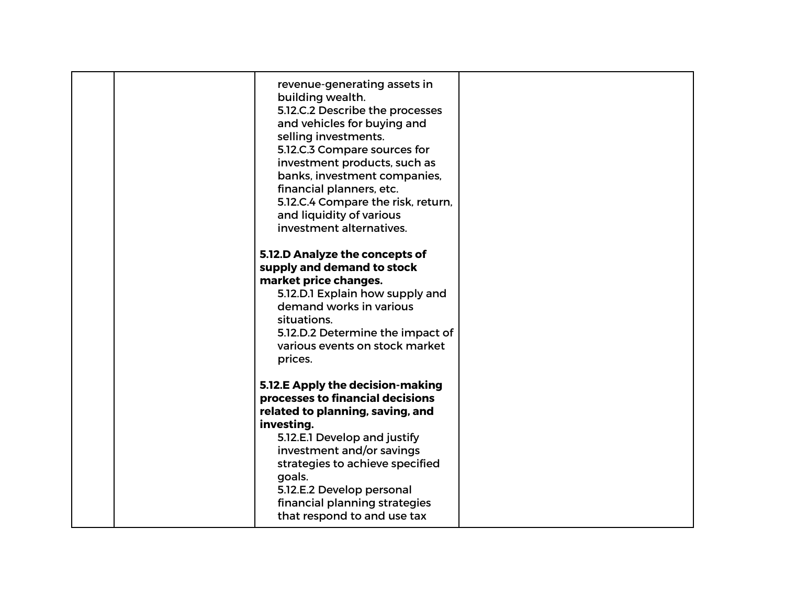|  | revenue-generating assets in<br>building wealth.<br>5.12.C.2 Describe the processes<br>and vehicles for buying and<br>selling investments.<br>5.12.C.3 Compare sources for<br>investment products, such as<br>banks, investment companies,<br>financial planners, etc.<br>5.12.C.4 Compare the risk, return,<br>and liquidity of various<br>investment alternatives. |  |
|--|----------------------------------------------------------------------------------------------------------------------------------------------------------------------------------------------------------------------------------------------------------------------------------------------------------------------------------------------------------------------|--|
|  | 5.12.D Analyze the concepts of<br>supply and demand to stock<br>market price changes.<br>5.12.D.1 Explain how supply and<br>demand works in various<br>situations.<br>5.12.D.2 Determine the impact of<br>various events on stock market<br>prices.                                                                                                                  |  |
|  | 5.12.E Apply the decision-making<br>processes to financial decisions<br>related to planning, saving, and<br>investing.<br>5.12.E.1 Develop and justify<br>investment and/or savings<br>strategies to achieve specified<br>goals.<br>5.12.E.2 Develop personal<br>financial planning strategies<br>that respond to and use tax                                        |  |